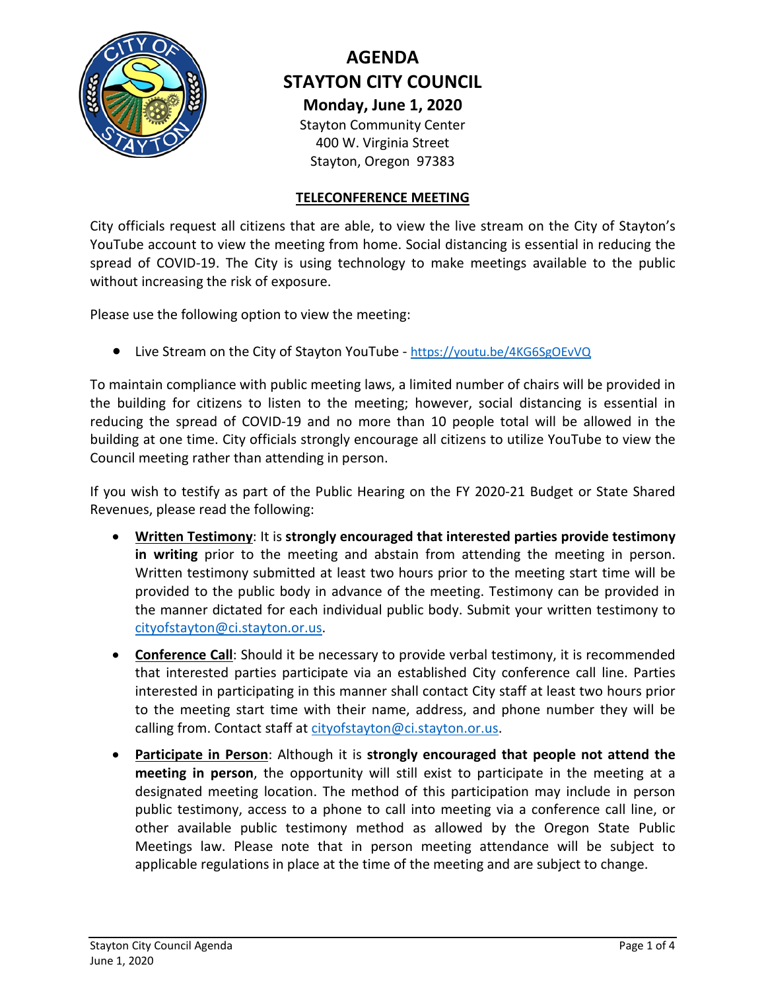

# **AGENDA STAYTON CITY COUNCIL Monday, June 1, 2020**

Stayton Community Center 400 W. Virginia Street Stayton, Oregon 97383

## **TELECONFERENCE MEETING**

City officials request all citizens that are able, to view the live stream on the City of Stayton's YouTube account to view the meeting from home. Social distancing is essential in reducing the spread of COVID-19. The City is using technology to make meetings available to the public without increasing the risk of exposure.

Please use the following option to view the meeting:

• Live Stream on the City of Stayton YouTube - <https://youtu.be/4KG6SgOEvVQ>

To maintain compliance with public meeting laws, a limited number of chairs will be provided in the building for citizens to listen to the meeting; however, social distancing is essential in reducing the spread of COVID-19 and no more than 10 people total will be allowed in the building at one time. City officials strongly encourage all citizens to utilize YouTube to view the Council meeting rather than attending in person.

If you wish to testify as part of the Public Hearing on the FY 2020-21 Budget or State Shared Revenues, please read the following:

- **Written Testimony**: It is **strongly encouraged that interested parties provide testimony in writing** prior to the meeting and abstain from attending the meeting in person. Written testimony submitted at least two hours prior to the meeting start time will be provided to the public body in advance of the meeting. Testimony can be provided in the manner dictated for each individual public body. Submit your written testimony to [cityofstayton@ci.stayton.or.us.](mailto:cityofstayton@ci.stayton.or.us)
- **Conference Call**: Should it be necessary to provide verbal testimony, it is recommended that interested parties participate via an established City conference call line. Parties interested in participating in this manner shall contact City staff at least two hours prior to the meeting start time with their name, address, and phone number they will be calling from. Contact staff at [cityofstayton@ci.stayton.or.us.](mailto:cityofstayton@ci.stayton.or.us)
- **Participate in Person**: Although it is **strongly encouraged that people not attend the meeting in person**, the opportunity will still exist to participate in the meeting at a designated meeting location. The method of this participation may include in person public testimony, access to a phone to call into meeting via a conference call line, or other available public testimony method as allowed by the Oregon State Public Meetings law. Please note that in person meeting attendance will be subject to applicable regulations in place at the time of the meeting and are subject to change.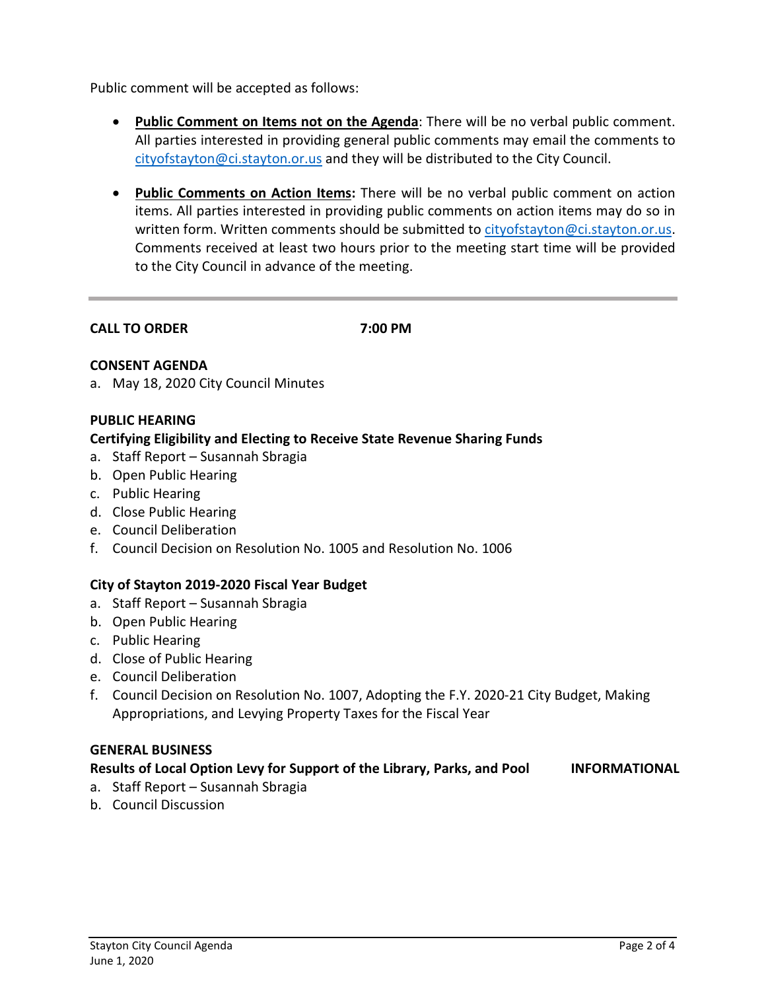Public comment will be accepted as follows:

- **Public Comment on Items not on the Agenda**: There will be no verbal public comment. All parties interested in providing general public comments may email the comments to [cityofstayton@ci.stayton.or.us](mailto:cityofstayton@ci.stayton.or.us) and they will be distributed to the City Council.
- **Public Comments on Action Items:** There will be no verbal public comment on action items. All parties interested in providing public comments on action items may do so in written form. Written comments should be submitted to [cityofstayton@ci.stayton.or.us.](mailto:cityofstayton@ci.stayton.or.us) Comments received at least two hours prior to the meeting start time will be provided to the City Council in advance of the meeting.

**CALL TO ORDER 7:00 PM**

## **CONSENT AGENDA**

a. May 18, 2020 City Council Minutes

## **PUBLIC HEARING**

## **Certifying Eligibility and Electing to Receive State Revenue Sharing Funds**

- a. Staff Report Susannah Sbragia
- b. Open Public Hearing
- c. Public Hearing
- d. Close Public Hearing
- e. Council Deliberation
- f. Council Decision on Resolution No. 1005 and Resolution No. 1006

## **City of Stayton 2019-2020 Fiscal Year Budget**

- a. Staff Report Susannah Sbragia
- b. Open Public Hearing
- c. Public Hearing
- d. Close of Public Hearing
- e. Council Deliberation
- f. Council Decision on Resolution No. 1007, Adopting the F.Y. 2020-21 City Budget, Making Appropriations, and Levying Property Taxes for the Fiscal Year

#### **GENERAL BUSINESS**

## **Results of Local Option Levy for Support of the Library, Parks, and Pool INFORMATIONAL**

- a. Staff Report Susannah Sbragia
- b. Council Discussion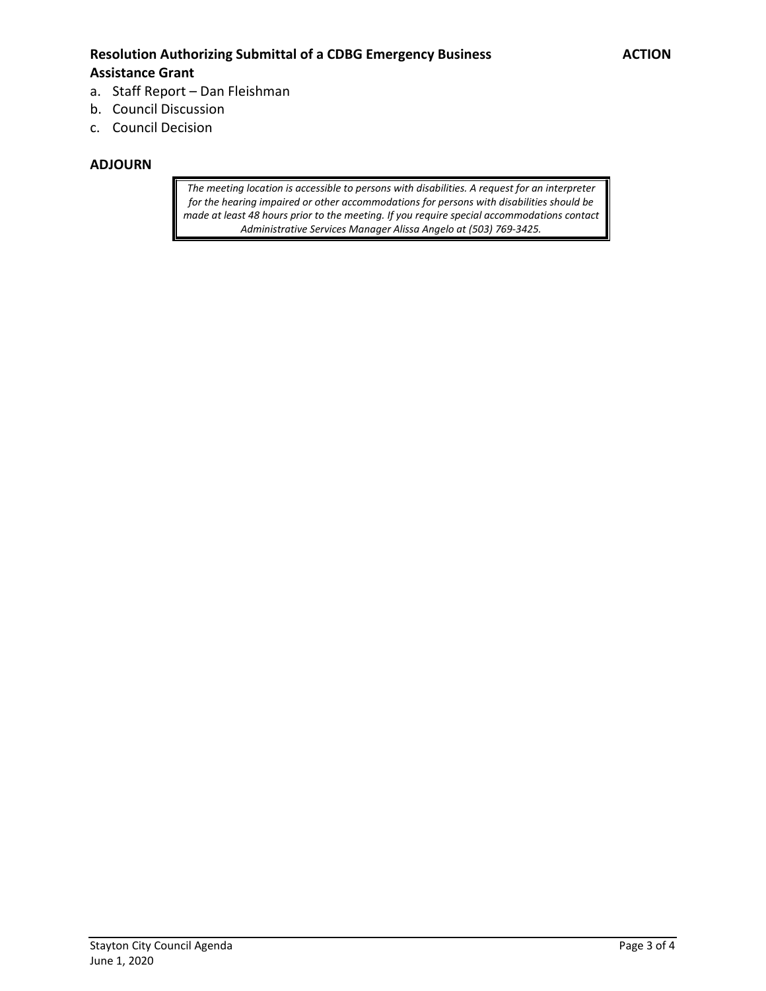## Resolution Authorizing Submittal of a CDBG Emergency Business **ACTION Assistance Grant**

- a. Staff Report Dan Fleishman
- b. Council Discussion
- c. Council Decision

#### **ADJOURN**

*The meeting location is accessible to persons with disabilities. A request for an interpreter for the hearing impaired or other accommodations for persons with disabilities should be made at least 48 hours prior to the meeting. If you require special accommodations contact Administrative Services Manager Alissa Angelo at (503) 769-3425.*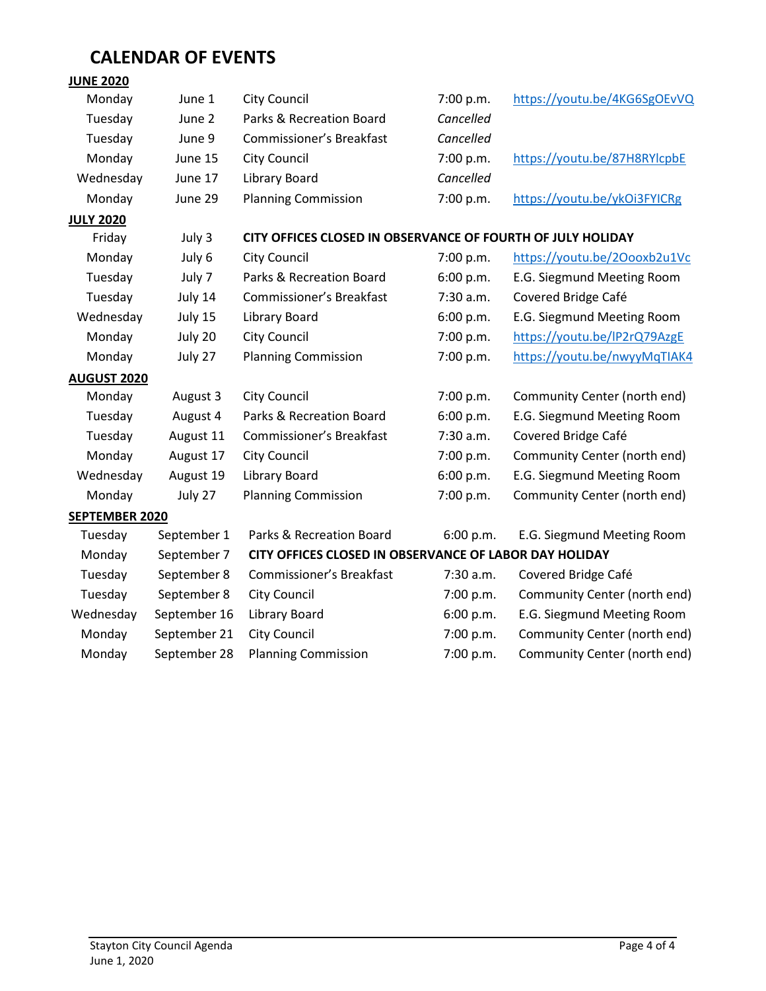# **CALENDAR OF EVENTS**

## **JUNE 2020**

| Monday             | June 1       | <b>City Council</b>                                         | 7:00 p.m. | https://youtu.be/4KG6SgOEvVQ |
|--------------------|--------------|-------------------------------------------------------------|-----------|------------------------------|
| Tuesday            | June 2       | Parks & Recreation Board                                    | Cancelled |                              |
| Tuesday            | June 9       | Commissioner's Breakfast                                    | Cancelled |                              |
| Monday             | June 15      | City Council                                                | 7:00 p.m. | https://youtu.be/87H8RYlcpbE |
| Wednesday          | June 17      | Library Board                                               | Cancelled |                              |
| Monday             | June 29      | <b>Planning Commission</b>                                  | 7:00 p.m. | https://youtu.be/ykOi3FYICRg |
| <b>JULY 2020</b>   |              |                                                             |           |                              |
| Friday             | July 3       | CITY OFFICES CLOSED IN OBSERVANCE OF FOURTH OF JULY HOLIDAY |           |                              |
| Monday             | July 6       | <b>City Council</b>                                         | 7:00 p.m. | https://youtu.be/20ooxb2u1Vc |
| Tuesday            | July 7       | Parks & Recreation Board                                    | 6:00 p.m. | E.G. Siegmund Meeting Room   |
| Tuesday            | July 14      | Commissioner's Breakfast                                    | 7:30 a.m. | Covered Bridge Café          |
| Wednesday          | July 15      | <b>Library Board</b>                                        | 6:00 p.m. | E.G. Siegmund Meeting Room   |
| Monday             | July 20      | <b>City Council</b>                                         | 7:00 p.m. | https://youtu.be/IP2rQ79AzgE |
| Monday             | July 27      | <b>Planning Commission</b>                                  | 7:00 p.m. | https://youtu.be/nwyyMqTIAK4 |
| <b>AUGUST 2020</b> |              |                                                             |           |                              |
| Monday             | August 3     | <b>City Council</b>                                         | 7:00 p.m. | Community Center (north end) |
| Tuesday            | August 4     | Parks & Recreation Board                                    | 6:00 p.m. | E.G. Siegmund Meeting Room   |
| Tuesday            | August 11    | Commissioner's Breakfast                                    | 7:30 a.m. | Covered Bridge Café          |
| Monday             | August 17    | City Council                                                | 7:00 p.m. | Community Center (north end) |
| Wednesday          | August 19    | Library Board                                               | 6:00 p.m. | E.G. Siegmund Meeting Room   |
| Monday             | July 27      | <b>Planning Commission</b>                                  | 7:00 p.m. | Community Center (north end) |
| SEPTEMBER 2020     |              |                                                             |           |                              |
| Tuesday            | September 1  | Parks & Recreation Board                                    | 6:00 p.m. | E.G. Siegmund Meeting Room   |
| Monday             | September 7  | CITY OFFICES CLOSED IN OBSERVANCE OF LABOR DAY HOLIDAY      |           |                              |
| Tuesday            | September 8  | <b>Commissioner's Breakfast</b>                             | 7:30 a.m. | Covered Bridge Café          |
| Tuesday            | September 8  | <b>City Council</b>                                         | 7:00 p.m. | Community Center (north end) |
| Wednesday          | September 16 | <b>Library Board</b>                                        | 6:00 p.m. | E.G. Siegmund Meeting Room   |
| Monday             | September 21 | City Council                                                | 7:00 p.m. | Community Center (north end) |
| Monday             | September 28 | <b>Planning Commission</b>                                  | 7:00 p.m. | Community Center (north end) |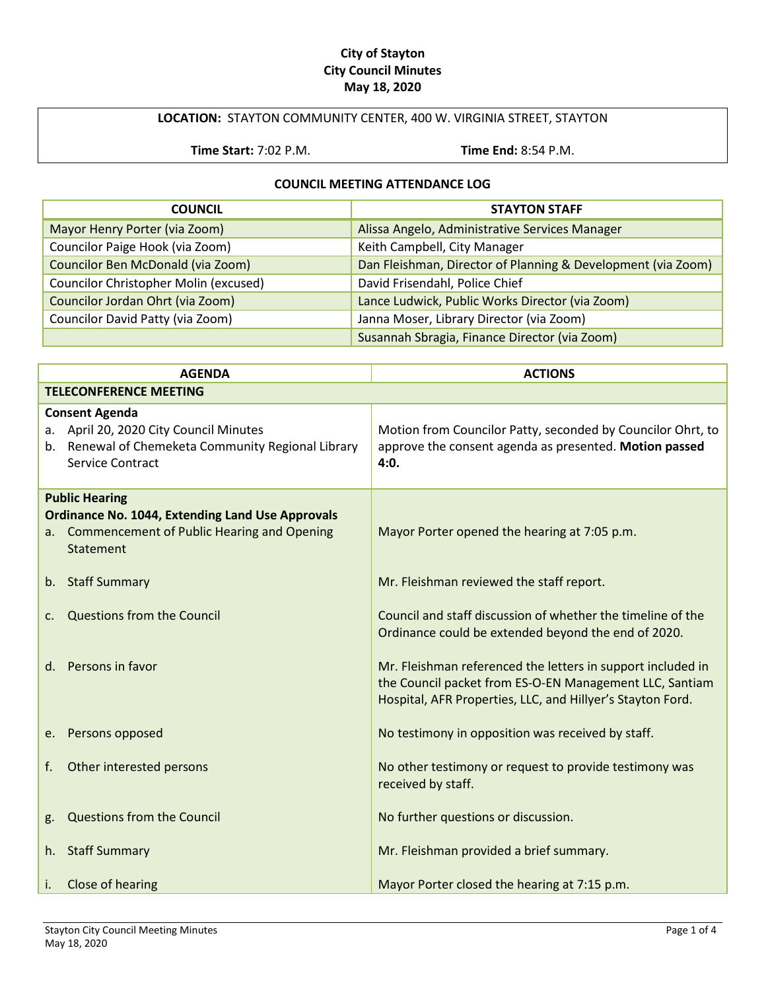#### **City of Stayton City Council Minutes May 18, 2020**

## **LOCATION:** STAYTON COMMUNITY CENTER, 400 W. VIRGINIA STREET, STAYTON

**Time Start:** 7:02 P.M. **Time End:** 8:54 P.M.

#### **COUNCIL MEETING ATTENDANCE LOG**

| <b>COUNCIL</b>                        | <b>STAYTON STAFF</b>                                         |
|---------------------------------------|--------------------------------------------------------------|
| Mayor Henry Porter (via Zoom)         | Alissa Angelo, Administrative Services Manager               |
| Councilor Paige Hook (via Zoom)       | Keith Campbell, City Manager                                 |
| Councilor Ben McDonald (via Zoom)     | Dan Fleishman, Director of Planning & Development (via Zoom) |
| Councilor Christopher Molin (excused) | David Frisendahl, Police Chief                               |
| Councilor Jordan Ohrt (via Zoom)      | Lance Ludwick, Public Works Director (via Zoom)              |
| Councilor David Patty (via Zoom)      | Janna Moser, Library Director (via Zoom)                     |
|                                       | Susannah Sbragia, Finance Director (via Zoom)                |

|    | <b>AGENDA</b>                                                                                                                                    | <b>ACTIONS</b>                                                                                                                                                                       |
|----|--------------------------------------------------------------------------------------------------------------------------------------------------|--------------------------------------------------------------------------------------------------------------------------------------------------------------------------------------|
|    |                                                                                                                                                  |                                                                                                                                                                                      |
|    | <b>TELECONFERENCE MEETING</b>                                                                                                                    |                                                                                                                                                                                      |
|    | <b>Consent Agenda</b><br>a. April 20, 2020 City Council Minutes<br>b. Renewal of Chemeketa Community Regional Library<br><b>Service Contract</b> | Motion from Councilor Patty, seconded by Councilor Ohrt, to<br>approve the consent agenda as presented. Motion passed<br>4:0.                                                        |
|    | <b>Public Hearing</b>                                                                                                                            |                                                                                                                                                                                      |
|    | <b>Ordinance No. 1044, Extending Land Use Approvals</b><br>a. Commencement of Public Hearing and Opening<br>Statement                            | Mayor Porter opened the hearing at 7:05 p.m.                                                                                                                                         |
|    | b. Staff Summary                                                                                                                                 | Mr. Fleishman reviewed the staff report.                                                                                                                                             |
| C. | Questions from the Council                                                                                                                       | Council and staff discussion of whether the timeline of the<br>Ordinance could be extended beyond the end of 2020.                                                                   |
|    | d. Persons in favor                                                                                                                              | Mr. Fleishman referenced the letters in support included in<br>the Council packet from ES-O-EN Management LLC, Santiam<br>Hospital, AFR Properties, LLC, and Hillyer's Stayton Ford. |
|    | e. Persons opposed                                                                                                                               | No testimony in opposition was received by staff.                                                                                                                                    |
| f. | Other interested persons                                                                                                                         | No other testimony or request to provide testimony was<br>received by staff.                                                                                                         |
| g. | <b>Questions from the Council</b>                                                                                                                | No further questions or discussion.                                                                                                                                                  |
| h. | <b>Staff Summary</b>                                                                                                                             | Mr. Fleishman provided a brief summary.                                                                                                                                              |
| i. | Close of hearing                                                                                                                                 | Mayor Porter closed the hearing at 7:15 p.m.                                                                                                                                         |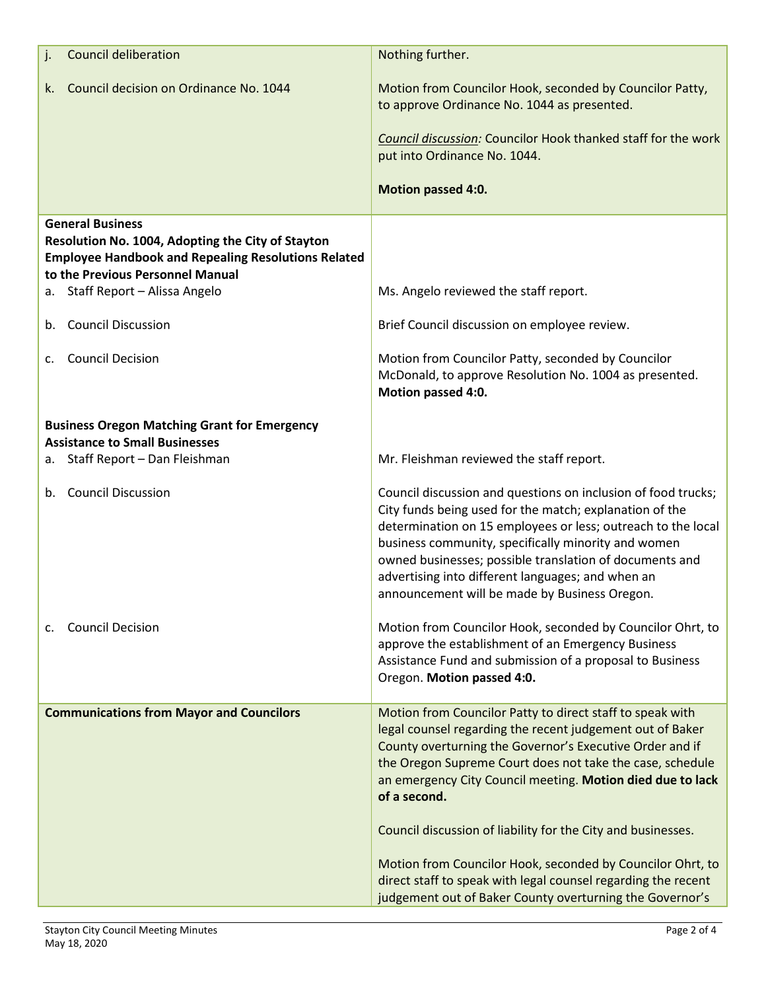| <b>Council deliberation</b><br>j.                                                                                                                                              | Nothing further.                                                                                                                                                                                                                                                                                                                                                                                                                                                                                                                                                                         |
|--------------------------------------------------------------------------------------------------------------------------------------------------------------------------------|------------------------------------------------------------------------------------------------------------------------------------------------------------------------------------------------------------------------------------------------------------------------------------------------------------------------------------------------------------------------------------------------------------------------------------------------------------------------------------------------------------------------------------------------------------------------------------------|
| Council decision on Ordinance No. 1044<br>k.                                                                                                                                   | Motion from Councilor Hook, seconded by Councilor Patty,<br>to approve Ordinance No. 1044 as presented.                                                                                                                                                                                                                                                                                                                                                                                                                                                                                  |
|                                                                                                                                                                                | Council discussion: Councilor Hook thanked staff for the work<br>put into Ordinance No. 1044.                                                                                                                                                                                                                                                                                                                                                                                                                                                                                            |
|                                                                                                                                                                                | <b>Motion passed 4:0.</b>                                                                                                                                                                                                                                                                                                                                                                                                                                                                                                                                                                |
| <b>General Business</b><br>Resolution No. 1004, Adopting the City of Stayton<br><b>Employee Handbook and Repealing Resolutions Related</b><br>to the Previous Personnel Manual |                                                                                                                                                                                                                                                                                                                                                                                                                                                                                                                                                                                          |
| a. Staff Report - Alissa Angelo                                                                                                                                                | Ms. Angelo reviewed the staff report.                                                                                                                                                                                                                                                                                                                                                                                                                                                                                                                                                    |
| <b>Council Discussion</b><br>b.                                                                                                                                                | Brief Council discussion on employee review.                                                                                                                                                                                                                                                                                                                                                                                                                                                                                                                                             |
| <b>Council Decision</b><br>C.                                                                                                                                                  | Motion from Councilor Patty, seconded by Councilor<br>McDonald, to approve Resolution No. 1004 as presented.<br>Motion passed 4:0.                                                                                                                                                                                                                                                                                                                                                                                                                                                       |
| <b>Business Oregon Matching Grant for Emergency</b><br><b>Assistance to Small Businesses</b>                                                                                   |                                                                                                                                                                                                                                                                                                                                                                                                                                                                                                                                                                                          |
| Staff Report - Dan Fleishman<br>а.                                                                                                                                             | Mr. Fleishman reviewed the staff report.                                                                                                                                                                                                                                                                                                                                                                                                                                                                                                                                                 |
| <b>Council Discussion</b><br>b.                                                                                                                                                | Council discussion and questions on inclusion of food trucks;<br>City funds being used for the match; explanation of the<br>determination on 15 employees or less; outreach to the local<br>business community, specifically minority and women<br>owned businesses; possible translation of documents and<br>advertising into different languages; and when an<br>announcement will be made by Business Oregon.                                                                                                                                                                         |
| <b>Council Decision</b><br>C.                                                                                                                                                  | Motion from Councilor Hook, seconded by Councilor Ohrt, to<br>approve the establishment of an Emergency Business<br>Assistance Fund and submission of a proposal to Business<br>Oregon. Motion passed 4:0.                                                                                                                                                                                                                                                                                                                                                                               |
| <b>Communications from Mayor and Councilors</b>                                                                                                                                | Motion from Councilor Patty to direct staff to speak with<br>legal counsel regarding the recent judgement out of Baker<br>County overturning the Governor's Executive Order and if<br>the Oregon Supreme Court does not take the case, schedule<br>an emergency City Council meeting. Motion died due to lack<br>of a second.<br>Council discussion of liability for the City and businesses.<br>Motion from Councilor Hook, seconded by Councilor Ohrt, to<br>direct staff to speak with legal counsel regarding the recent<br>judgement out of Baker County overturning the Governor's |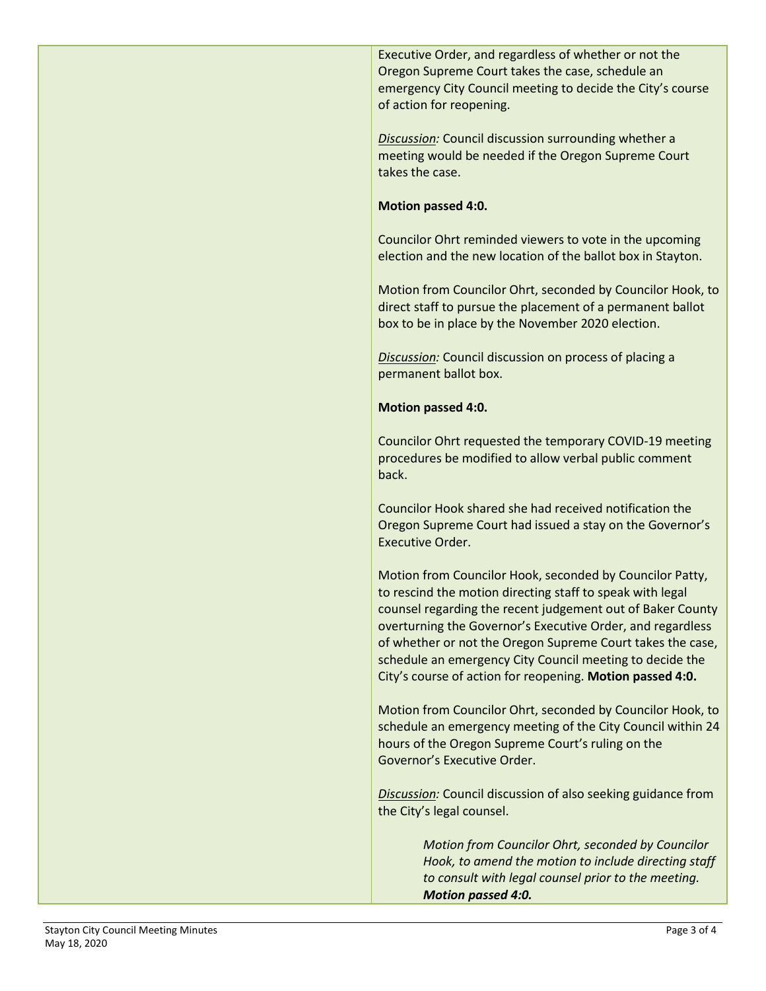Executive Order, and regardless of whether or not the Oregon Supreme Court takes the case, schedule an emergency City Council meeting to decide the City's course of action for reopening.

*Discussion:* Council discussion surrounding whether a meeting would be needed if the Oregon Supreme Court takes the case.

#### **Motion passed 4:0.**

Councilor Ohrt reminded viewers to vote in the upcoming election and the new location of the ballot box in Stayton.

Motion from Councilor Ohrt, seconded by Councilor Hook, to direct staff to pursue the placement of a permanent ballot box to be in place by the November 2020 election.

*Discussion:* Council discussion on process of placing a permanent ballot box.

## **Motion passed 4:0.**

Councilor Ohrt requested the temporary COVID-19 meeting procedures be modified to allow verbal public comment back.

Councilor Hook shared she had received notification the Oregon Supreme Court had issued a stay on the Governor's Executive Order.

Motion from Councilor Hook, seconded by Councilor Patty, to rescind the motion directing staff to speak with legal counsel regarding the recent judgement out of Baker County overturning the Governor's Executive Order, and regardless of whether or not the Oregon Supreme Court takes the case, schedule an emergency City Council meeting to decide the City's course of action for reopening. **Motion passed 4:0.**

Motion from Councilor Ohrt, seconded by Councilor Hook, to schedule an emergency meeting of the City Council within 24 hours of the Oregon Supreme Court's ruling on the Governor's Executive Order.

*Discussion:* Council discussion of also seeking guidance from the City's legal counsel.

> *Motion from Councilor Ohrt, seconded by Councilor Hook, to amend the motion to include directing staff to consult with legal counsel prior to the meeting. Motion passed 4:0.*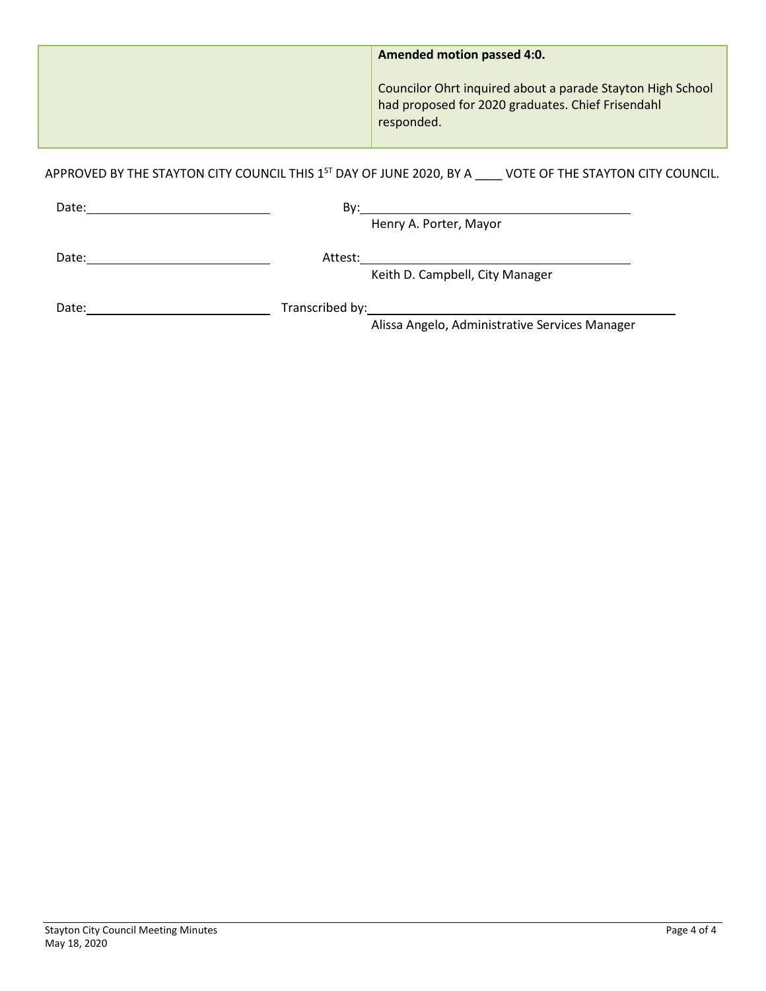| Amended motion passed 4:0.                                                                                                    |
|-------------------------------------------------------------------------------------------------------------------------------|
| Councilor Ohrt inquired about a parade Stayton High School<br>had proposed for 2020 graduates. Chief Frisendahl<br>responded. |

APPROVED BY THE STAYTON CITY COUNCIL THIS 1<sup>ST</sup> DAY OF JUNE 2020, BY A \_\_\_\_ VOTE OF THE STAYTON CITY COUNCIL.

| Date: | Bv:             |                                 |  |
|-------|-----------------|---------------------------------|--|
|       |                 | Henry A. Porter, Mayor          |  |
| Date: | Attest:         |                                 |  |
|       |                 | Keith D. Campbell, City Manager |  |
| Date: | Transcribed by: |                                 |  |

Alissa Angelo, Administrative Services Manager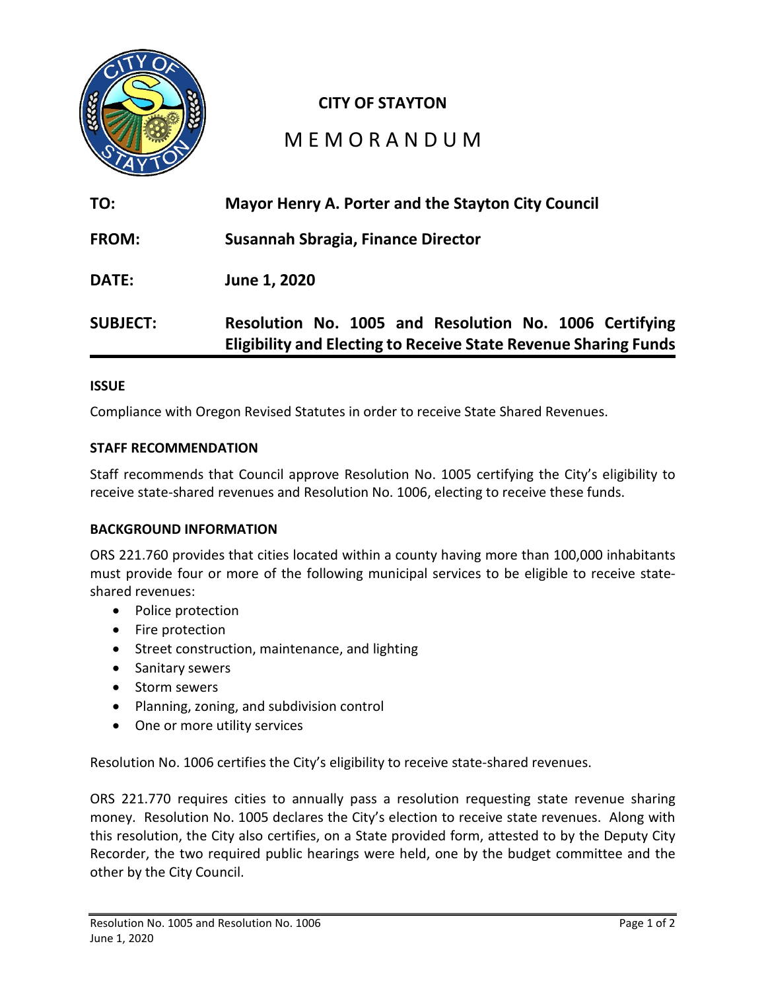

## **CITY OF STAYTON**

# M E M O R A N D U M

| TO:             | Mayor Henry A. Porter and the Stayton City Council                                                                               |  |  |  |  |  |
|-----------------|----------------------------------------------------------------------------------------------------------------------------------|--|--|--|--|--|
| <b>FROM:</b>    | <b>Susannah Sbragia, Finance Director</b>                                                                                        |  |  |  |  |  |
| <b>DATE:</b>    | June 1, 2020                                                                                                                     |  |  |  |  |  |
| <b>SUBJECT:</b> | Resolution No. 1005 and Resolution No. 1006 Certifying<br><b>Eligibility and Electing to Receive State Revenue Sharing Funds</b> |  |  |  |  |  |

#### **ISSUE**

Compliance with Oregon Revised Statutes in order to receive State Shared Revenues.

#### **STAFF RECOMMENDATION**

Staff recommends that Council approve Resolution No. 1005 certifying the City's eligibility to receive state-shared revenues and Resolution No. 1006, electing to receive these funds.

#### **BACKGROUND INFORMATION**

ORS 221.760 provides that cities located within a county having more than 100,000 inhabitants must provide four or more of the following municipal services to be eligible to receive stateshared revenues:

- Police protection
- Fire protection
- Street construction, maintenance, and lighting
- Sanitary sewers
- Storm sewers
- Planning, zoning, and subdivision control
- One or more utility services

Resolution No. 1006 certifies the City's eligibility to receive state-shared revenues.

ORS 221.770 requires cities to annually pass a resolution requesting state revenue sharing money. Resolution No. 1005 declares the City's election to receive state revenues. Along with this resolution, the City also certifies, on a State provided form, attested to by the Deputy City Recorder, the two required public hearings were held, one by the budget committee and the other by the City Council.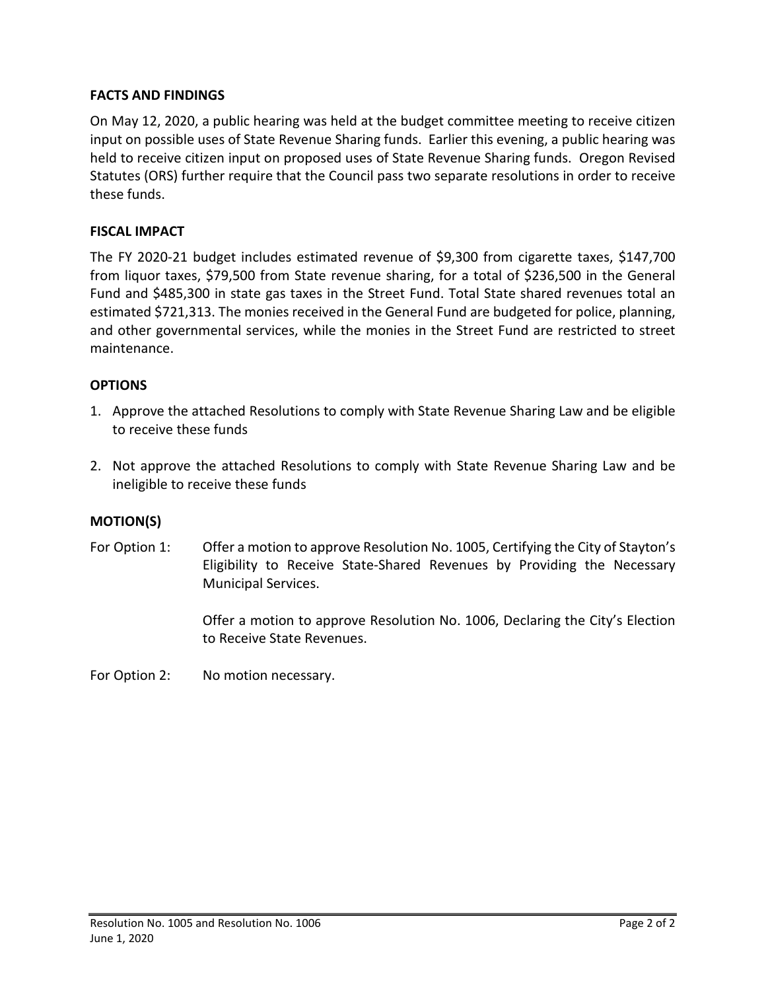## **FACTS AND FINDINGS**

On May 12, 2020, a public hearing was held at the budget committee meeting to receive citizen input on possible uses of State Revenue Sharing funds. Earlier this evening, a public hearing was held to receive citizen input on proposed uses of State Revenue Sharing funds. Oregon Revised Statutes (ORS) further require that the Council pass two separate resolutions in order to receive these funds.

#### **FISCAL IMPACT**

The FY 2020-21 budget includes estimated revenue of \$9,300 from cigarette taxes, \$147,700 from liquor taxes, \$79,500 from State revenue sharing, for a total of \$236,500 in the General Fund and \$485,300 in state gas taxes in the Street Fund. Total State shared revenues total an estimated \$721,313. The monies received in the General Fund are budgeted for police, planning, and other governmental services, while the monies in the Street Fund are restricted to street maintenance.

## **OPTIONS**

- 1. Approve the attached Resolutions to comply with State Revenue Sharing Law and be eligible to receive these funds
- 2. Not approve the attached Resolutions to comply with State Revenue Sharing Law and be ineligible to receive these funds

#### **MOTION(S)**

For Option 1: Offer a motion to approve Resolution No. 1005, Certifying the City of Stayton's Eligibility to Receive State-Shared Revenues by Providing the Necessary Municipal Services.

> Offer a motion to approve Resolution No. 1006, Declaring the City's Election to Receive State Revenues.

For Option 2: No motion necessary.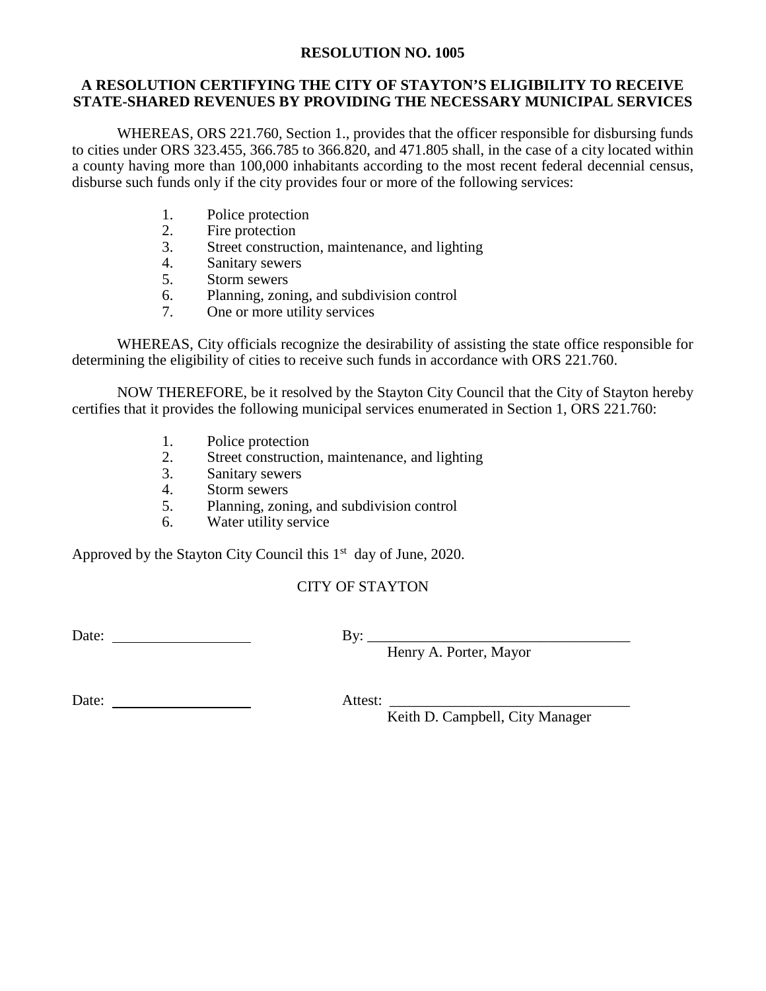#### **RESOLUTION NO. 1005**

#### **A RESOLUTION CERTIFYING THE CITY OF STAYTON'S ELIGIBILITY TO RECEIVE STATE-SHARED REVENUES BY PROVIDING THE NECESSARY MUNICIPAL SERVICES**

WHEREAS, ORS 221.760, Section 1., provides that the officer responsible for disbursing funds to cities under ORS 323.455, 366.785 to 366.820, and 471.805 shall, in the case of a city located within a county having more than 100,000 inhabitants according to the most recent federal decennial census, disburse such funds only if the city provides four or more of the following services:

- 1. Police protection<br>2. Fire protection
- Fire protection
- 3. Street construction, maintenance, and lighting
- 4. Sanitary sewers
- 5. Storm sewers
- 6. Planning, zoning, and subdivision control
- 7. One or more utility services

WHEREAS, City officials recognize the desirability of assisting the state office responsible for determining the eligibility of cities to receive such funds in accordance with ORS 221.760.

NOW THEREFORE, be it resolved by the Stayton City Council that the City of Stayton hereby certifies that it provides the following municipal services enumerated in Section 1, ORS 221.760:

- 1. Police protection
- 2. Street construction, maintenance, and lighting
- 3. Sanitary sewers
- 4. Storm sewers
- 5. Planning, zoning, and subdivision control
- 6. Water utility service

Approved by the Stayton City Council this  $1<sup>st</sup>$  day of June, 2020.

## CITY OF STAYTON

Date: By: \_\_\_\_\_\_\_\_\_\_\_\_\_\_\_\_\_\_\_\_\_\_\_\_\_\_\_\_\_\_\_\_\_\_\_

Henry A. Porter, Mayor

Date: Attest: \_\_\_\_\_\_\_\_\_\_\_\_\_\_\_\_\_\_\_\_\_\_\_\_\_\_\_\_\_\_\_\_

Keith D. Campbell, City Manager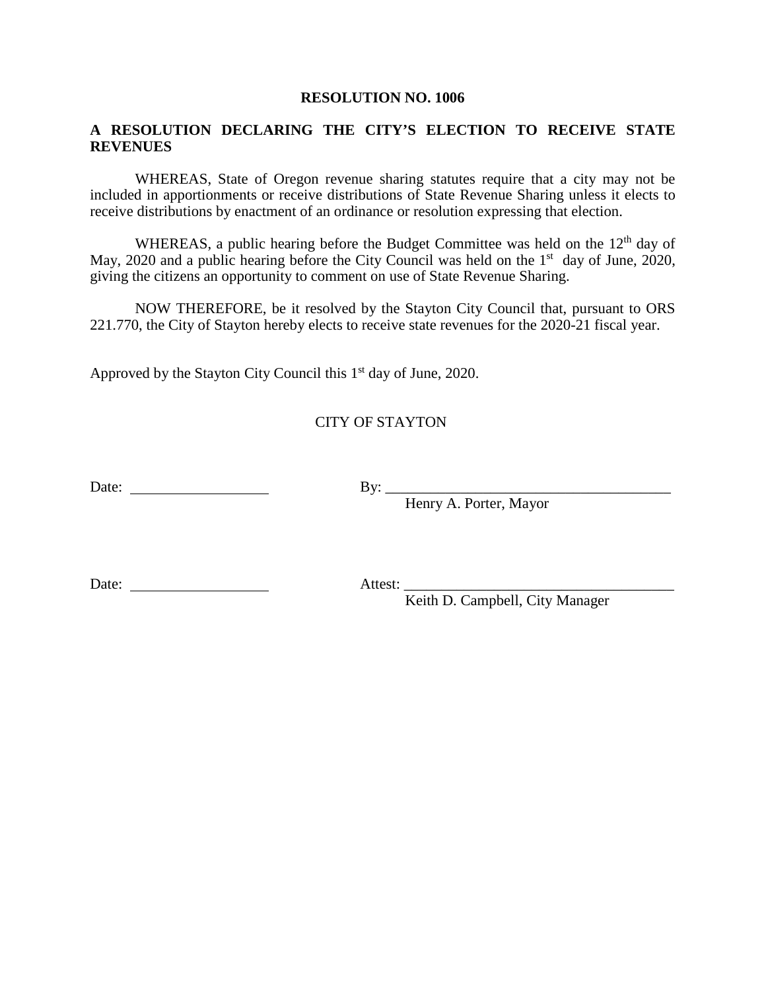#### **RESOLUTION NO. 1006**

#### **A RESOLUTION DECLARING THE CITY'S ELECTION TO RECEIVE STATE REVENUES**

WHEREAS, State of Oregon revenue sharing statutes require that a city may not be included in apportionments or receive distributions of State Revenue Sharing unless it elects to receive distributions by enactment of an ordinance or resolution expressing that election.

WHEREAS, a public hearing before the Budget Committee was held on the  $12<sup>th</sup>$  day of May, 2020 and a public hearing before the City Council was held on the  $1<sup>st</sup>$  day of June, 2020, giving the citizens an opportunity to comment on use of State Revenue Sharing.

NOW THEREFORE, be it resolved by the Stayton City Council that, pursuant to ORS 221.770, the City of Stayton hereby elects to receive state revenues for the 2020-21 fiscal year.

Approved by the Stayton City Council this  $1<sup>st</sup>$  day of June, 2020.

## CITY OF STAYTON

Date: By: \_\_\_\_\_\_\_\_\_\_\_\_\_\_\_\_\_\_\_\_\_\_\_\_\_\_\_\_\_\_\_\_\_\_\_\_\_\_

Henry A. Porter, Mayor

Date: Attest: \_\_\_\_\_\_\_\_\_\_\_\_\_\_\_\_\_\_\_\_\_\_\_\_\_\_\_\_\_\_\_\_\_\_\_\_

Keith D. Campbell, City Manager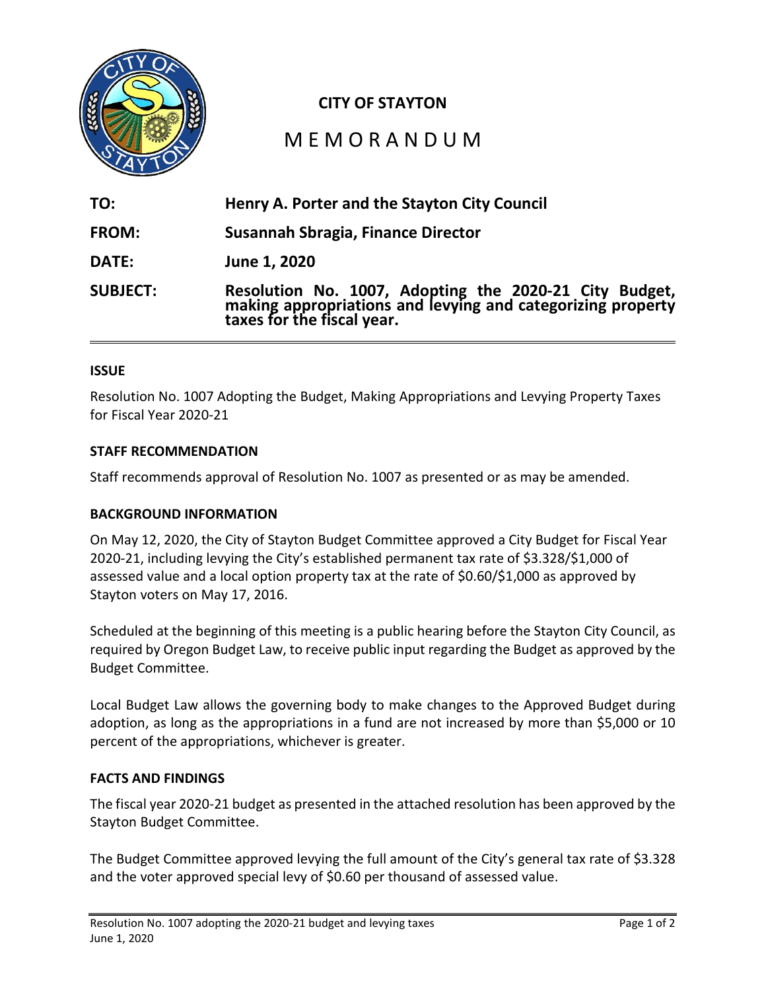

## **CITY OF STAYTON**

## M E M O R A N D U M

| TO:             | Henry A. Porter and the Stayton City Council                                                                                                        |
|-----------------|-----------------------------------------------------------------------------------------------------------------------------------------------------|
| FROM:           | Susannah Sbragia, Finance Director                                                                                                                  |
| DATE:           | June 1, 2020                                                                                                                                        |
| <b>SUBJECT:</b> | Resolution No. 1007, Adopting the 2020-21 City Budget,<br>making appropriations and levying and categorizing property<br>taxes for the fiscal year. |

#### **ISSUE**

Resolution No. 1007 Adopting the Budget, Making Appropriations and Levying Property Taxes for Fiscal Year 2020-21

#### **STAFF RECOMMENDATION**

Staff recommends approval of Resolution No. 1007 as presented or as may be amended.

#### **BACKGROUND INFORMATION**

On May 12, 2020, the City of Stayton Budget Committee approved a City Budget for Fiscal Year 2020-21, including levying the City's established permanent tax rate of \$3.328/\$1,000 of assessed value and a local option property tax at the rate of \$0.60/\$1,000 as approved by Stayton voters on May 17, 2016.

Scheduled at the beginning of this meeting is a public hearing before the Stayton City Council, as required by Oregon Budget Law, to receive public input regarding the Budget as approved by the Budget Committee.

Local Budget Law allows the governing body to make changes to the Approved Budget during adoption, as long as the appropriations in a fund are not increased by more than \$5,000 or 10 percent of the appropriations, whichever is greater.

#### **FACTS AND FINDINGS**

The fiscal year 2020-21 budget as presented in the attached resolution has been approved by the Stayton Budget Committee.

The Budget Committee approved levying the full amount of the City's general tax rate of \$3.328 and the voter approved special levy of \$0.60 per thousand of assessed value.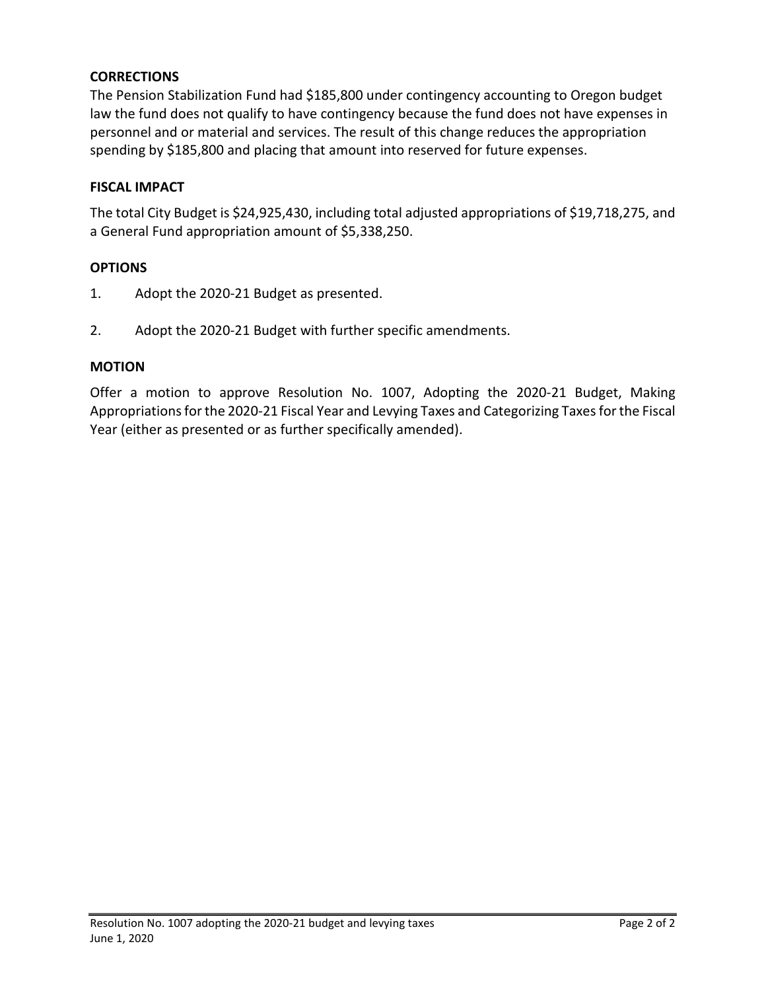## **CORRECTIONS**

The Pension Stabilization Fund had \$185,800 under contingency accounting to Oregon budget law the fund does not qualify to have contingency because the fund does not have expenses in personnel and or material and services. The result of this change reduces the appropriation spending by \$185,800 and placing that amount into reserved for future expenses.

## **FISCAL IMPACT**

The total City Budget is \$24,925,430, including total adjusted appropriations of \$19,718,275, and a General Fund appropriation amount of \$5,338,250.

## **OPTIONS**

- 1. Adopt the 2020-21 Budget as presented.
- 2. Adopt the 2020-21 Budget with further specific amendments.

#### **MOTION**

Offer a motion to approve Resolution No. 1007, Adopting the 2020-21 Budget, Making Appropriations for the 2020-21 Fiscal Year and Levying Taxes and Categorizing Taxes for the Fiscal Year (either as presented or as further specifically amended).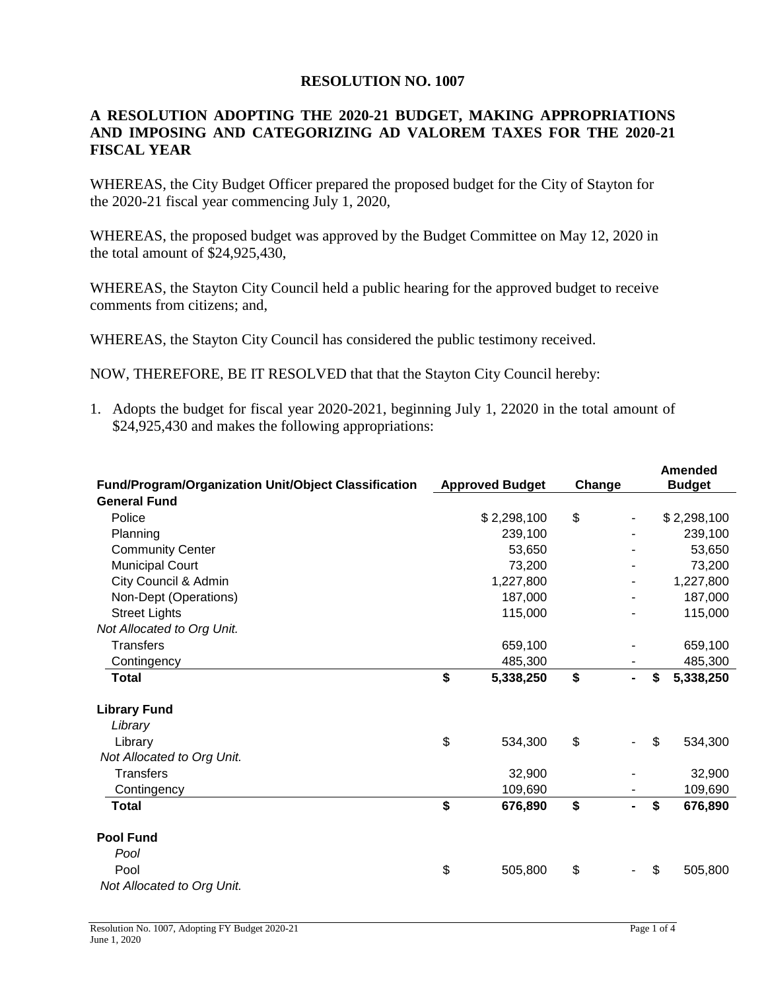#### **RESOLUTION NO. 1007**

## **A RESOLUTION ADOPTING THE 2020-21 BUDGET, MAKING APPROPRIATIONS AND IMPOSING AND CATEGORIZING AD VALOREM TAXES FOR THE 2020-21 FISCAL YEAR**

WHEREAS, the City Budget Officer prepared the proposed budget for the City of Stayton for the 2020-21 fiscal year commencing July 1, 2020,

WHEREAS, the proposed budget was approved by the Budget Committee on May 12, 2020 in the total amount of \$24,925,430,

WHEREAS, the Stayton City Council held a public hearing for the approved budget to receive comments from citizens; and,

WHEREAS, the Stayton City Council has considered the public testimony received.

NOW, THEREFORE, BE IT RESOLVED that that the Stayton City Council hereby:

1. Adopts the budget for fiscal year 2020-2021, beginning July 1, 22020 in the total amount of \$24,925,430 and makes the following appropriations:

|                                                             |    |                        |        |  | Amended |               |  |
|-------------------------------------------------------------|----|------------------------|--------|--|---------|---------------|--|
| <b>Fund/Program/Organization Unit/Object Classification</b> |    | <b>Approved Budget</b> | Change |  |         | <b>Budget</b> |  |
| <b>General Fund</b>                                         |    |                        |        |  |         |               |  |
| Police                                                      |    | \$2,298,100            | \$     |  |         | \$2,298,100   |  |
| Planning                                                    |    | 239,100                |        |  |         | 239,100       |  |
| <b>Community Center</b>                                     |    | 53,650                 |        |  |         | 53,650        |  |
| <b>Municipal Court</b>                                      |    | 73,200                 |        |  |         | 73,200        |  |
| City Council & Admin                                        |    | 1,227,800              |        |  |         | 1,227,800     |  |
| Non-Dept (Operations)                                       |    | 187,000                |        |  |         | 187,000       |  |
| <b>Street Lights</b>                                        |    | 115,000                |        |  |         | 115,000       |  |
| Not Allocated to Org Unit.                                  |    |                        |        |  |         |               |  |
| <b>Transfers</b>                                            |    | 659,100                |        |  |         | 659,100       |  |
| Contingency                                                 |    | 485,300                |        |  |         | 485,300       |  |
| Total                                                       | \$ | 5,338,250              | \$     |  | \$      | 5,338,250     |  |
| <b>Library Fund</b>                                         |    |                        |        |  |         |               |  |
| Library                                                     |    |                        |        |  |         |               |  |
| Library                                                     | \$ | 534,300                | \$     |  | \$      | 534,300       |  |
| Not Allocated to Org Unit.                                  |    |                        |        |  |         |               |  |
| <b>Transfers</b>                                            |    | 32,900                 |        |  |         | 32,900        |  |
| Contingency                                                 |    | 109,690                |        |  |         | 109,690       |  |
| <b>Total</b>                                                | \$ | 676,890                | \$     |  | \$      | 676,890       |  |
| <b>Pool Fund</b>                                            |    |                        |        |  |         |               |  |
| Pool                                                        |    |                        |        |  |         |               |  |
| Pool                                                        | \$ | 505,800                | \$     |  | \$      | 505,800       |  |
| Not Allocated to Org Unit.                                  |    |                        |        |  |         |               |  |
|                                                             |    |                        |        |  |         |               |  |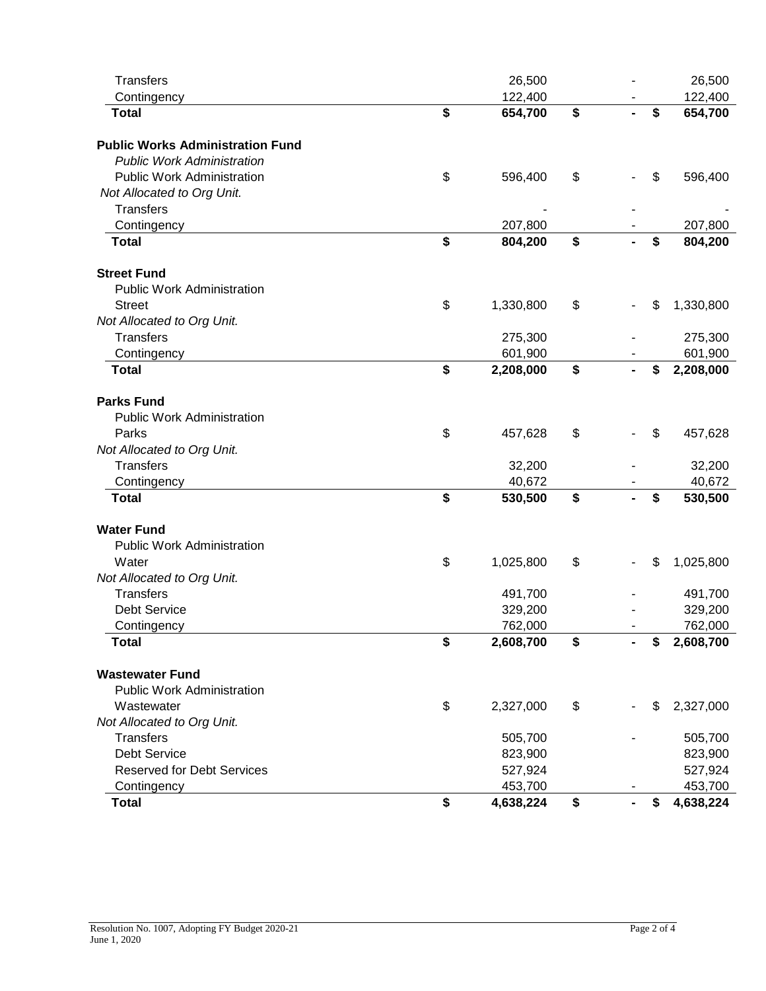| <b>Transfers</b>                        | 26,500          |    | 26,500          |
|-----------------------------------------|-----------------|----|-----------------|
| Contingency                             | 122,400         |    | 122,400         |
| <b>Total</b>                            | \$<br>654,700   | \$ | \$<br>654,700   |
| <b>Public Works Administration Fund</b> |                 |    |                 |
| <b>Public Work Administration</b>       |                 |    |                 |
| <b>Public Work Administration</b>       | \$<br>596,400   | \$ | \$<br>596,400   |
| Not Allocated to Org Unit.              |                 |    |                 |
| <b>Transfers</b>                        |                 |    |                 |
| Contingency                             | 207,800         |    | 207,800         |
| <b>Total</b>                            | \$<br>804,200   | \$ | \$<br>804,200   |
| <b>Street Fund</b>                      |                 |    |                 |
| <b>Public Work Administration</b>       |                 |    |                 |
| <b>Street</b>                           | \$<br>1,330,800 | \$ | \$<br>1,330,800 |
| Not Allocated to Org Unit.              |                 |    |                 |
| <b>Transfers</b>                        | 275,300         |    | 275,300         |
| Contingency                             | 601,900         |    | 601,900         |
| <b>Total</b>                            | \$<br>2,208,000 | \$ | \$<br>2,208,000 |
| <b>Parks Fund</b>                       |                 |    |                 |
| <b>Public Work Administration</b>       |                 |    |                 |
| Parks                                   | \$<br>457,628   | \$ | \$<br>457,628   |
| Not Allocated to Org Unit.              |                 |    |                 |
| <b>Transfers</b>                        | 32,200          |    | 32,200          |
| Contingency                             | 40,672          |    | 40,672          |
| <b>Total</b>                            | \$<br>530,500   | \$ | \$<br>530,500   |
| <b>Water Fund</b>                       |                 |    |                 |
| <b>Public Work Administration</b>       |                 |    |                 |
| Water                                   | \$<br>1,025,800 | \$ | \$<br>1,025,800 |
| Not Allocated to Org Unit.              |                 |    |                 |
| <b>Transfers</b>                        | 491,700         |    | 491,700         |
| Debt Service                            | 329,200         |    | 329,200         |
| Contingency                             | 762,000         |    | 762,000         |
| <b>Total</b>                            | \$<br>2,608,700 | \$ | \$<br>2,608,700 |
| <b>Wastewater Fund</b>                  |                 |    |                 |
| <b>Public Work Administration</b>       |                 |    |                 |
| Wastewater                              | \$<br>2,327,000 | \$ | \$<br>2,327,000 |
| Not Allocated to Org Unit.              |                 |    |                 |
| <b>Transfers</b>                        | 505,700         |    | 505,700         |
| Debt Service                            | 823,900         |    | 823,900         |
| <b>Reserved for Debt Services</b>       | 527,924         |    | 527,924         |
| Contingency                             | 453,700         |    | 453,700         |
| <b>Total</b>                            | \$<br>4,638,224 | \$ | \$<br>4,638,224 |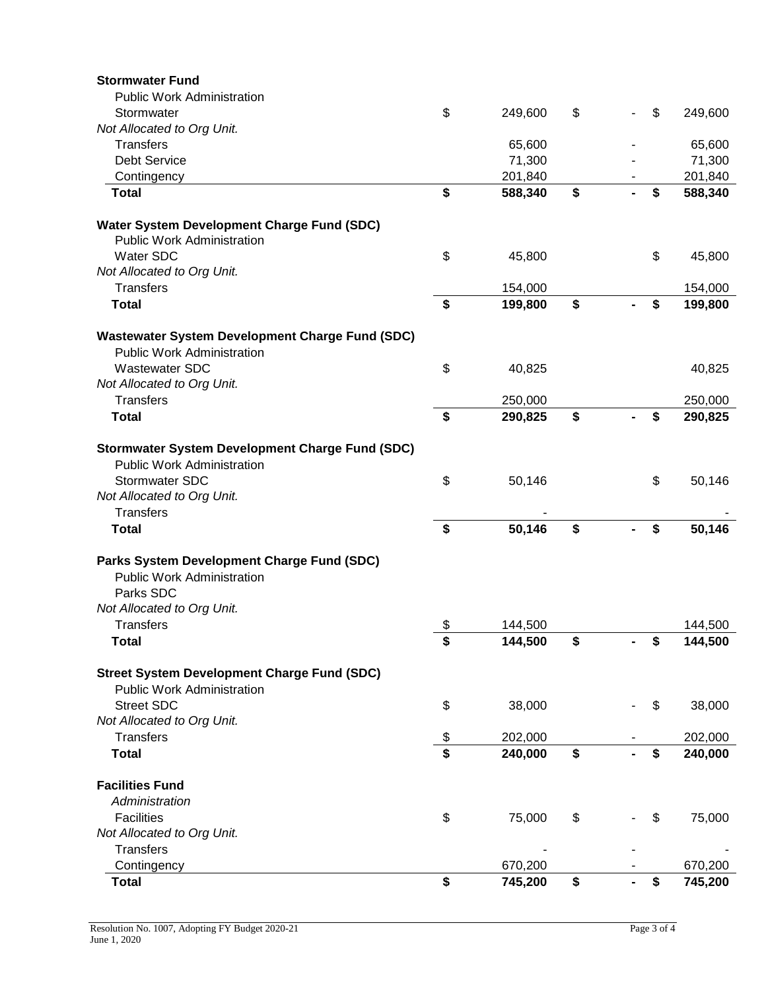| <b>Stormwater Fund</b>                                 |               |    |               |
|--------------------------------------------------------|---------------|----|---------------|
| <b>Public Work Administration</b>                      |               |    |               |
| Stormwater                                             | \$<br>249,600 | \$ | \$<br>249,600 |
| Not Allocated to Org Unit.                             |               |    |               |
| <b>Transfers</b>                                       | 65,600        |    | 65,600        |
| <b>Debt Service</b>                                    | 71,300        |    | 71,300        |
| Contingency                                            | 201,840       |    | 201,840       |
| <b>Total</b>                                           | \$<br>588,340 | \$ | \$<br>588,340 |
| Water System Development Charge Fund (SDC)             |               |    |               |
| <b>Public Work Administration</b>                      |               |    |               |
| Water SDC                                              | \$<br>45,800  |    | \$<br>45,800  |
| Not Allocated to Org Unit.                             |               |    |               |
| Transfers                                              | 154,000       |    | 154,000       |
| <b>Total</b>                                           | \$<br>199,800 | \$ | \$<br>199,800 |
| <b>Wastewater System Development Charge Fund (SDC)</b> |               |    |               |
| <b>Public Work Administration</b>                      |               |    |               |
| <b>Wastewater SDC</b>                                  | \$<br>40,825  |    | 40,825        |
| Not Allocated to Org Unit.                             |               |    |               |
| <b>Transfers</b>                                       | 250,000       |    | 250,000       |
| <b>Total</b>                                           | \$<br>290,825 | \$ | \$<br>290,825 |
| <b>Stormwater System Development Charge Fund (SDC)</b> |               |    |               |
| <b>Public Work Administration</b>                      |               |    |               |
| Stormwater SDC                                         | \$<br>50,146  |    | \$<br>50,146  |
| Not Allocated to Org Unit.                             |               |    |               |
| <b>Transfers</b>                                       |               |    |               |
| <b>Total</b>                                           | \$<br>50,146  | \$ | \$<br>50,146  |
| Parks System Development Charge Fund (SDC)             |               |    |               |
| <b>Public Work Administration</b>                      |               |    |               |
| Parks SDC                                              |               |    |               |
| Not Allocated to Org Unit.                             |               |    |               |
| <b>Transfers</b>                                       | \$<br>144,500 |    | 144,500       |
| <b>Total</b>                                           | \$<br>144,500 | \$ | \$<br>144,500 |
| <b>Street System Development Charge Fund (SDC)</b>     |               |    |               |
| <b>Public Work Administration</b>                      |               |    |               |
| <b>Street SDC</b>                                      | \$<br>38,000  |    | \$<br>38,000  |
| Not Allocated to Org Unit.                             |               |    |               |
| <b>Transfers</b>                                       | \$<br>202,000 |    | 202,000       |
| <b>Total</b>                                           | \$<br>240,000 | \$ | \$<br>240,000 |
|                                                        |               |    |               |
| <b>Facilities Fund</b>                                 |               |    |               |
| Administration                                         |               |    |               |
| <b>Facilities</b>                                      | \$<br>75,000  | \$ | \$<br>75,000  |
| Not Allocated to Org Unit.                             |               |    |               |
| <b>Transfers</b>                                       |               |    |               |
| Contingency                                            | 670,200       |    | 670,200       |
| <b>Total</b>                                           | \$<br>745,200 | \$ | \$<br>745,200 |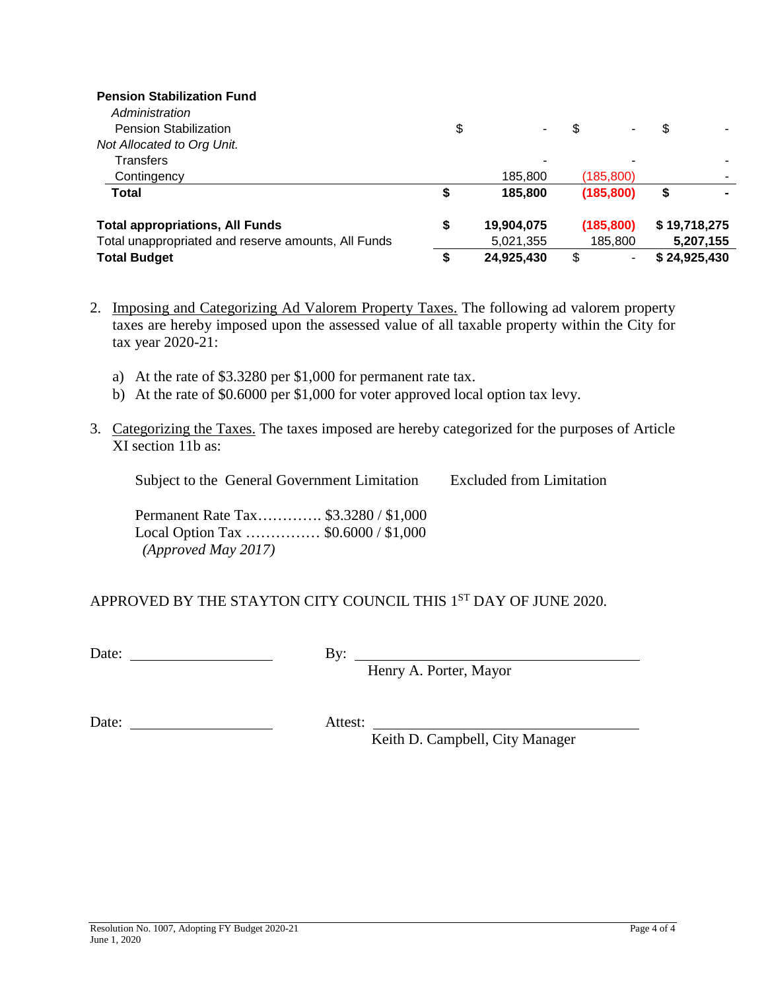# **Pension Stabilization Fund** *Administration*

| <b>Pension Stabilization</b>                        | \$ | ٠          | ۰                              |              |
|-----------------------------------------------------|----|------------|--------------------------------|--------------|
| Not Allocated to Org Unit.                          |    |            |                                |              |
| <b>Transfers</b>                                    |    | -          |                                |              |
| Contingency                                         |    | 185.800    | (185, 800)                     |              |
| Total                                               |    | 185.800    | (185, 800)                     | \$           |
| <b>Total appropriations, All Funds</b>              | S  | 19,904,075 | (185, 800)                     | \$19,718,275 |
| Total unappropriated and reserve amounts, All Funds |    | 5,021,355  | 185,800                        | 5,207,155    |
| <b>Total Budget</b>                                 | S  | 24,925,430 | \$<br>$\overline{\phantom{a}}$ | \$24,925,430 |

- 2. Imposing and Categorizing Ad Valorem Property Taxes. The following ad valorem property taxes are hereby imposed upon the assessed value of all taxable property within the City for tax year 2020-21:
	- a) At the rate of \$3.3280 per \$1,000 for permanent rate tax.
	- b) At the rate of \$0.6000 per \$1,000 for voter approved local option tax levy.
- 3. Categorizing the Taxes. The taxes imposed are hereby categorized for the purposes of Article XI section 11b as:

Subject to the General Government Limitation Excluded from Limitation

Permanent Rate Tax…………. \$3.3280 / \$1,000 Local Option Tax …………… \$0.6000 / \$1,000 *(Approved May 2017)*

## APPROVED BY THE STAYTON CITY COUNCIL THIS 1<sup>ST</sup> DAY OF JUNE 2020.

Date:  $\qquad \qquad \qquad$  By:

Henry A. Porter, Mayor

Date: Attest:

Keith D. Campbell, City Manager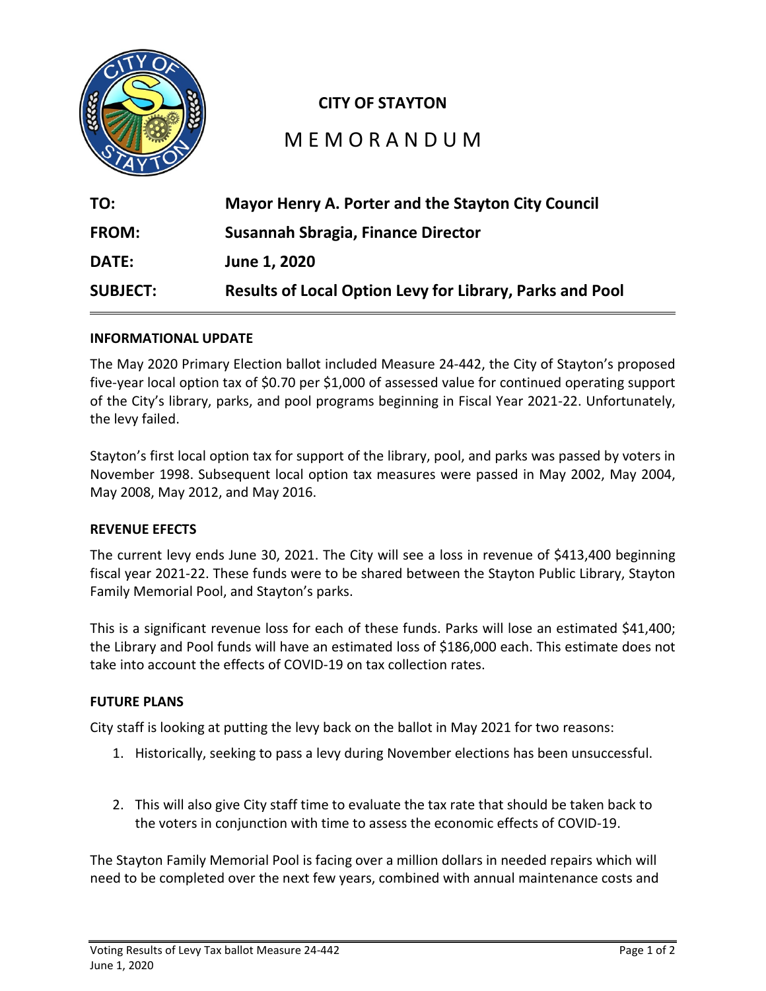

## **CITY OF STAYTON**

# M E M O R A N D U M

| TO:             | <b>Mayor Henry A. Porter and the Stayton City Council</b>       |
|-----------------|-----------------------------------------------------------------|
| <b>FROM:</b>    | Susannah Sbragia, Finance Director                              |
| <b>DATE:</b>    | June 1, 2020                                                    |
| <b>SUBJECT:</b> | <b>Results of Local Option Levy for Library, Parks and Pool</b> |

#### **INFORMATIONAL UPDATE**

The May 2020 Primary Election ballot included Measure 24-442, the City of Stayton's proposed five-year local option tax of \$0.70 per \$1,000 of assessed value for continued operating support of the City's library, parks, and pool programs beginning in Fiscal Year 2021-22. Unfortunately, the levy failed.

Stayton's first local option tax for support of the library, pool, and parks was passed by voters in November 1998. Subsequent local option tax measures were passed in May 2002, May 2004, May 2008, May 2012, and May 2016.

#### **REVENUE EFECTS**

The current levy ends June 30, 2021. The City will see a loss in revenue of \$413,400 beginning fiscal year 2021-22. These funds were to be shared between the Stayton Public Library, Stayton Family Memorial Pool, and Stayton's parks.

This is a significant revenue loss for each of these funds. Parks will lose an estimated \$41,400; the Library and Pool funds will have an estimated loss of \$186,000 each. This estimate does not take into account the effects of COVID-19 on tax collection rates.

#### **FUTURE PLANS**

City staff is looking at putting the levy back on the ballot in May 2021 for two reasons:

- 1. Historically, seeking to pass a levy during November elections has been unsuccessful.
- 2. This will also give City staff time to evaluate the tax rate that should be taken back to the voters in conjunction with time to assess the economic effects of COVID-19.

The Stayton Family Memorial Pool is facing over a million dollars in needed repairs which will need to be completed over the next few years, combined with annual maintenance costs and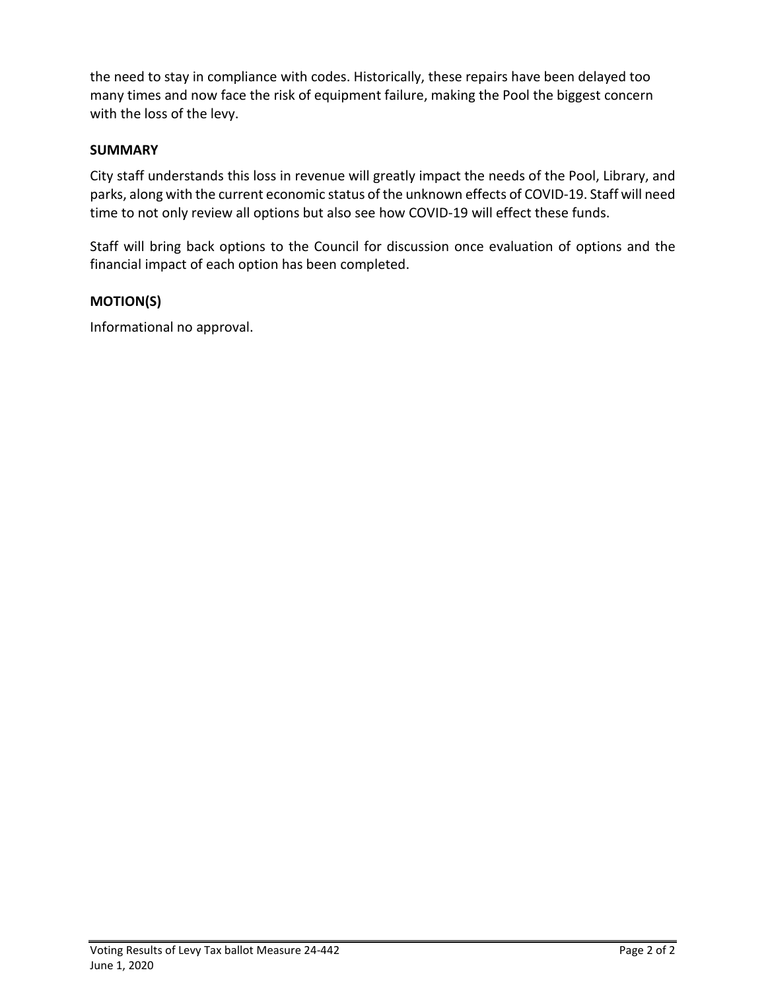the need to stay in compliance with codes. Historically, these repairs have been delayed too many times and now face the risk of equipment failure, making the Pool the biggest concern with the loss of the levy.

## **SUMMARY**

City staff understands this loss in revenue will greatly impact the needs of the Pool, Library, and parks, along with the current economic status of the unknown effects of COVID-19. Staff will need time to not only review all options but also see how COVID-19 will effect these funds.

Staff will bring back options to the Council for discussion once evaluation of options and the financial impact of each option has been completed.

## **MOTION(S)**

Informational no approval.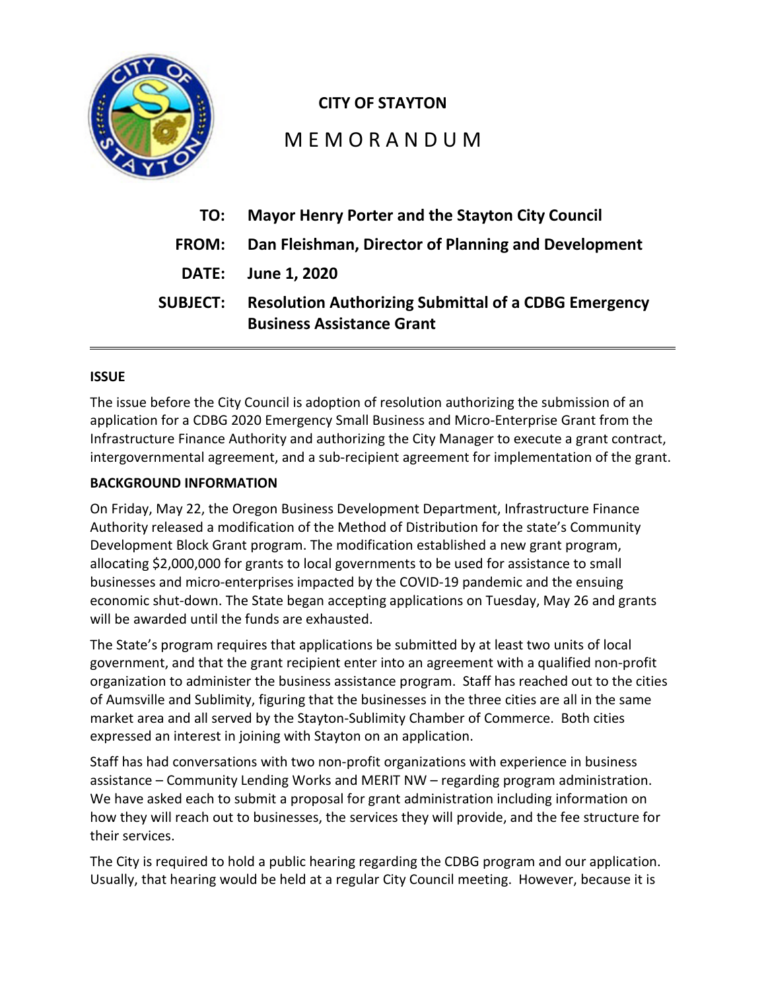

## **CITY OF STAYTON**

# M E M O R A N D U M

| TO:             | <b>Mayor Henry Porter and the Stayton City Council</b>                                          |
|-----------------|-------------------------------------------------------------------------------------------------|
| <b>FROM:</b>    | Dan Fleishman, Director of Planning and Development                                             |
|                 | DATE: June 1, 2020                                                                              |
| <b>SUBJECT:</b> | <b>Resolution Authorizing Submittal of a CDBG Emergency</b><br><b>Business Assistance Grant</b> |

## **ISSUE**

The issue before the City Council is adoption of resolution authorizing the submission of an application for a CDBG 2020 Emergency Small Business and Micro-Enterprise Grant from the Infrastructure Finance Authority and authorizing the City Manager to execute a grant contract, intergovernmental agreement, and a sub-recipient agreement for implementation of the grant.

## **BACKGROUND INFORMATION**

On Friday, May 22, the Oregon Business Development Department, Infrastructure Finance Authority released a modification of the Method of Distribution for the state's Community Development Block Grant program. The modification established a new grant program, allocating \$2,000,000 for grants to local governments to be used for assistance to small businesses and micro-enterprises impacted by the COVID-19 pandemic and the ensuing economic shut-down. The State began accepting applications on Tuesday, May 26 and grants will be awarded until the funds are exhausted.

The State's program requires that applications be submitted by at least two units of local government, and that the grant recipient enter into an agreement with a qualified non-profit organization to administer the business assistance program. Staff has reached out to the cities of Aumsville and Sublimity, figuring that the businesses in the three cities are all in the same market area and all served by the Stayton-Sublimity Chamber of Commerce. Both cities expressed an interest in joining with Stayton on an application.

Staff has had conversations with two non-profit organizations with experience in business assistance – Community Lending Works and MERIT NW – regarding program administration. We have asked each to submit a proposal for grant administration including information on how they will reach out to businesses, the services they will provide, and the fee structure for their services.

The City is required to hold a public hearing regarding the CDBG program and our application. Usually, that hearing would be held at a regular City Council meeting. However, because it is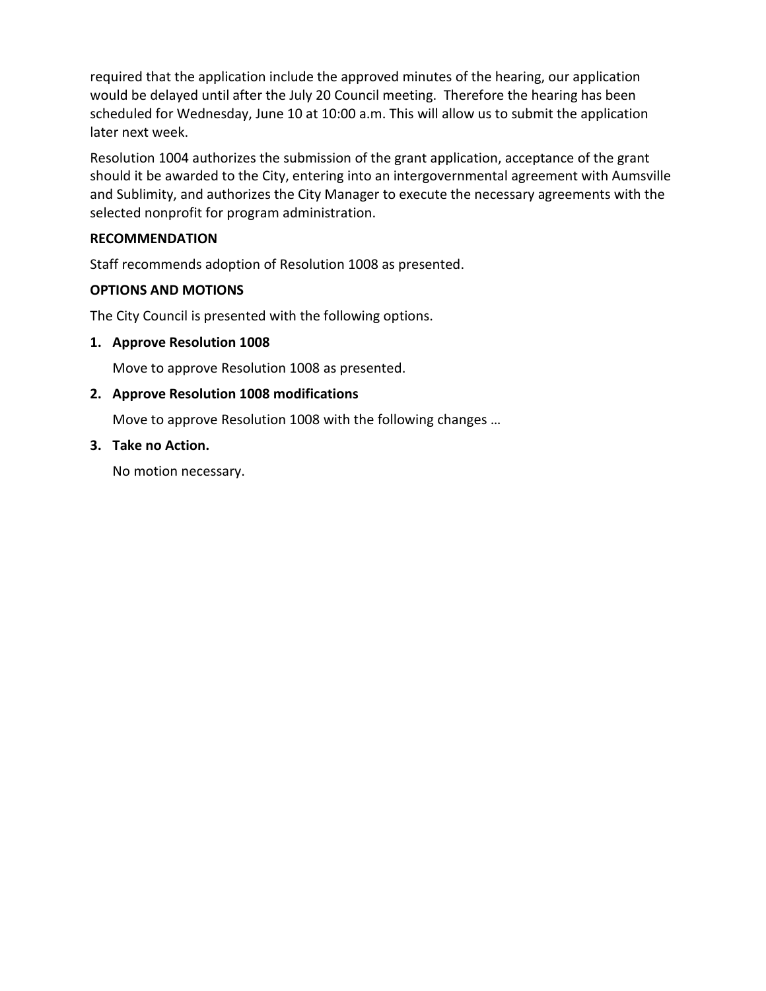required that the application include the approved minutes of the hearing, our application would be delayed until after the July 20 Council meeting. Therefore the hearing has been scheduled for Wednesday, June 10 at 10:00 a.m. This will allow us to submit the application later next week.

Resolution 1004 authorizes the submission of the grant application, acceptance of the grant should it be awarded to the City, entering into an intergovernmental agreement with Aumsville and Sublimity, and authorizes the City Manager to execute the necessary agreements with the selected nonprofit for program administration.

## **RECOMMENDATION**

Staff recommends adoption of Resolution 1008 as presented.

## **OPTIONS AND MOTIONS**

The City Council is presented with the following options.

## **1. Approve Resolution 1008**

Move to approve Resolution 1008 as presented.

## **2. Approve Resolution 1008 modifications**

Move to approve Resolution 1008 with the following changes …

## **3. Take no Action.**

No motion necessary.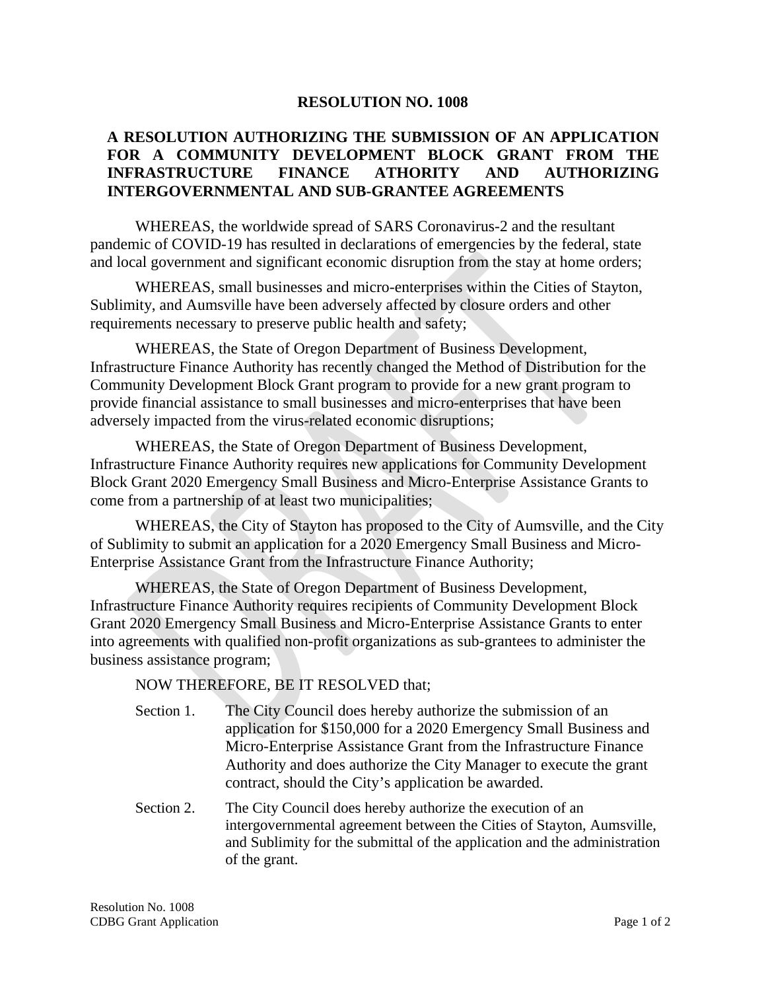#### **RESOLUTION NO. 1008**

## **A RESOLUTION AUTHORIZING THE SUBMISSION OF AN APPLICATION FOR A COMMUNITY DEVELOPMENT BLOCK GRANT FROM THE INFRASTRUCTURE FINANCE ATHORITY AND AUTHORIZING INTERGOVERNMENTAL AND SUB-GRANTEE AGREEMENTS**

WHEREAS, the worldwide spread of SARS Coronavirus-2 and the resultant pandemic of COVID-19 has resulted in declarations of emergencies by the federal, state and local government and significant economic disruption from the stay at home orders;

WHEREAS, small businesses and micro-enterprises within the Cities of Stayton, Sublimity, and Aumsville have been adversely affected by closure orders and other requirements necessary to preserve public health and safety;

WHEREAS, the State of Oregon Department of Business Development, Infrastructure Finance Authority has recently changed the Method of Distribution for the Community Development Block Grant program to provide for a new grant program to provide financial assistance to small businesses and micro-enterprises that have been adversely impacted from the virus-related economic disruptions;

WHEREAS, the State of Oregon Department of Business Development, Infrastructure Finance Authority requires new applications for Community Development Block Grant 2020 Emergency Small Business and Micro-Enterprise Assistance Grants to come from a partnership of at least two municipalities;

WHEREAS, the City of Stayton has proposed to the City of Aumsville, and the City of Sublimity to submit an application for a 2020 Emergency Small Business and Micro-Enterprise Assistance Grant from the Infrastructure Finance Authority;

WHEREAS, the State of Oregon Department of Business Development, Infrastructure Finance Authority requires recipients of Community Development Block Grant 2020 Emergency Small Business and Micro-Enterprise Assistance Grants to enter into agreements with qualified non-profit organizations as sub-grantees to administer the business assistance program;

#### NOW THEREFORE, BE IT RESOLVED that;

- Section 1. The City Council does hereby authorize the submission of an application for \$150,000 for a 2020 Emergency Small Business and Micro-Enterprise Assistance Grant from the Infrastructure Finance Authority and does authorize the City Manager to execute the grant contract, should the City's application be awarded.
- Section 2. The City Council does hereby authorize the execution of an intergovernmental agreement between the Cities of Stayton, Aumsville, and Sublimity for the submittal of the application and the administration of the grant.